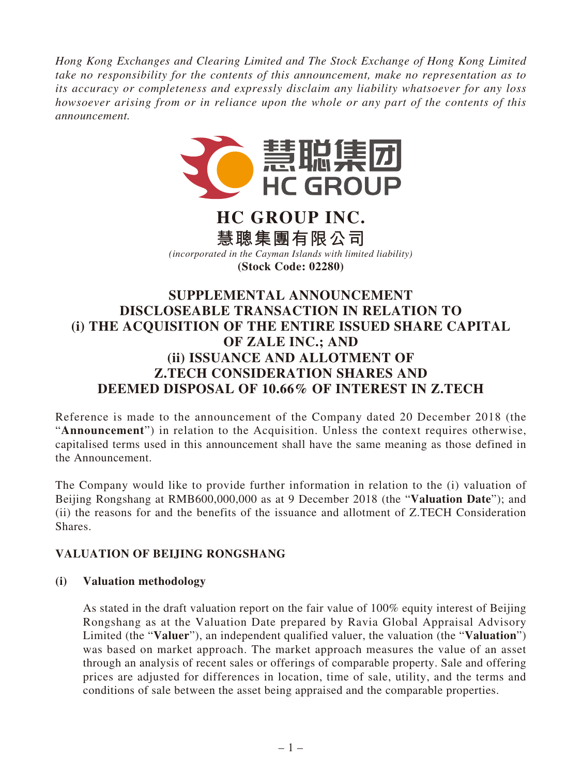*Hong Kong Exchanges and Clearing Limited and The Stock Exchange of Hong Kong Limited take no responsibility for the contents of this announcement, make no representation as to its accuracy or completeness and expressly disclaim any liability whatsoever for any loss howsoever arising from or in reliance upon the whole or any part of the contents of this announcement.*



# **HC GROUP INC. 慧聰集團有限公司**

*(incorporated in the Cayman Islands with limited liability)* **(Stock Code: 02280)**

# **SUPPLEMENTAL ANNOUNCEMENT DISCLOSEABLE TRANSACTION IN RELATION TO (i) THE ACQUISITION OF THE ENTIRE ISSUED SHARE CAPITAL OF ZALE INC.; AND (ii) ISSUANCE AND ALLOTMENT OF Z.TECH CONSIDERATION SHARES AND DEEMED DISPOSAL OF 10.66% OF INTEREST IN Z.TECH**

Reference is made to the announcement of the Company dated 20 December 2018 (the "**Announcement**") in relation to the Acquisition. Unless the context requires otherwise, capitalised terms used in this announcement shall have the same meaning as those defined in the Announcement.

The Company would like to provide further information in relation to the (i) valuation of Beijing Rongshang at RMB600,000,000 as at 9 December 2018 (the "**Valuation Date**"); and (ii) the reasons for and the benefits of the issuance and allotment of Z.TECH Consideration Shares.

# **VALUATION OF BEIJING RONGSHANG**

## **(i) Valuation methodology**

As stated in the draft valuation report on the fair value of 100% equity interest of Beijing Rongshang as at the Valuation Date prepared by Ravia Global Appraisal Advisory Limited (the "**Valuer**"), an independent qualified valuer, the valuation (the "**Valuation**") was based on market approach. The market approach measures the value of an asset through an analysis of recent sales or offerings of comparable property. Sale and offering prices are adjusted for differences in location, time of sale, utility, and the terms and conditions of sale between the asset being appraised and the comparable properties.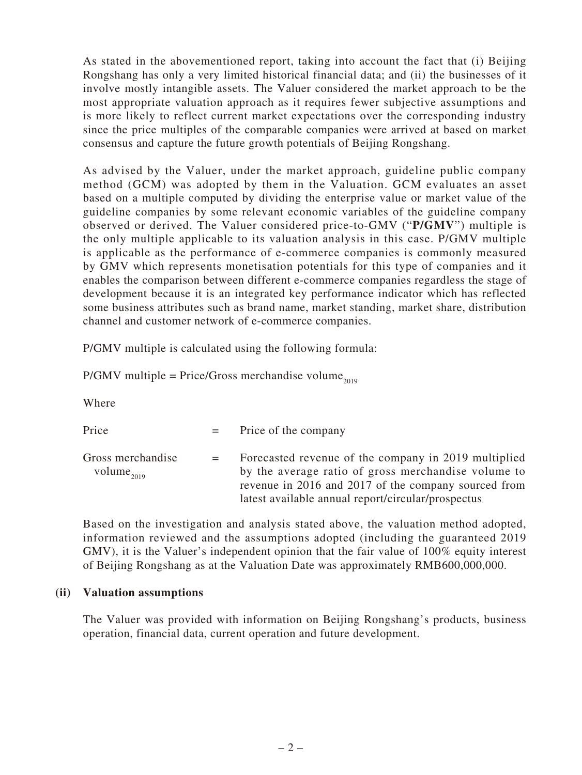As stated in the abovementioned report, taking into account the fact that (i) Beijing Rongshang has only a very limited historical financial data; and (ii) the businesses of it involve mostly intangible assets. The Valuer considered the market approach to be the most appropriate valuation approach as it requires fewer subjective assumptions and is more likely to reflect current market expectations over the corresponding industry since the price multiples of the comparable companies were arrived at based on market consensus and capture the future growth potentials of Beijing Rongshang.

As advised by the Valuer, under the market approach, guideline public company method (GCM) was adopted by them in the Valuation. GCM evaluates an asset based on a multiple computed by dividing the enterprise value or market value of the guideline companies by some relevant economic variables of the guideline company observed or derived. The Valuer considered price-to-GMV ("**P/GMV**") multiple is the only multiple applicable to its valuation analysis in this case. P/GMV multiple is applicable as the performance of e-commerce companies is commonly measured by GMV which represents monetisation potentials for this type of companies and it enables the comparison between different e-commerce companies regardless the stage of development because it is an integrated key performance indicator which has reflected some business attributes such as brand name, market standing, market share, distribution channel and customer network of e-commerce companies.

P/GMV multiple is calculated using the following formula:

 $P/GMV$  multiple = Price/Gross merchandise volume<sub>2019</sub>

Where

| Price                                       | $=$ Price of the company                                                                                                                                                                                                  |
|---------------------------------------------|---------------------------------------------------------------------------------------------------------------------------------------------------------------------------------------------------------------------------|
| Gross merchandise<br>volume <sub>2019</sub> | Forecasted revenue of the company in 2019 multiplied<br>by the average ratio of gross merchandise volume to<br>revenue in 2016 and 2017 of the company sourced from<br>latest available annual report/circular/prospectus |

Based on the investigation and analysis stated above, the valuation method adopted, information reviewed and the assumptions adopted (including the guaranteed 2019 GMV), it is the Valuer's independent opinion that the fair value of 100% equity interest of Beijing Rongshang as at the Valuation Date was approximately RMB600,000,000.

#### **(ii) Valuation assumptions**

The Valuer was provided with information on Beijing Rongshang's products, business operation, financial data, current operation and future development.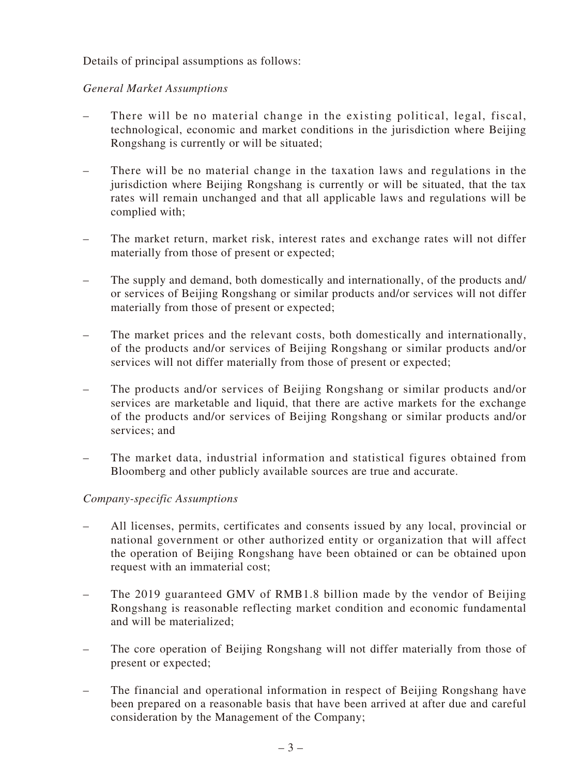Details of principal assumptions as follows:

#### *General Market Assumptions*

- There will be no material change in the existing political, legal, fiscal, technological, economic and market conditions in the jurisdiction where Beijing Rongshang is currently or will be situated;
- There will be no material change in the taxation laws and regulations in the jurisdiction where Beijing Rongshang is currently or will be situated, that the tax rates will remain unchanged and that all applicable laws and regulations will be complied with;
- The market return, market risk, interest rates and exchange rates will not differ materially from those of present or expected;
- The supply and demand, both domestically and internationally, of the products and/ or services of Beijing Rongshang or similar products and/or services will not differ materially from those of present or expected;
- The market prices and the relevant costs, both domestically and internationally, of the products and/or services of Beijing Rongshang or similar products and/or services will not differ materially from those of present or expected;
- The products and/or services of Beijing Rongshang or similar products and/or services are marketable and liquid, that there are active markets for the exchange of the products and/or services of Beijing Rongshang or similar products and/or services; and
- The market data, industrial information and statistical figures obtained from Bloomberg and other publicly available sources are true and accurate.

## *Company-specific Assumptions*

- All licenses, permits, certificates and consents issued by any local, provincial or national government or other authorized entity or organization that will affect the operation of Beijing Rongshang have been obtained or can be obtained upon request with an immaterial cost;
- The 2019 guaranteed GMV of RMB1.8 billion made by the vendor of Beijing Rongshang is reasonable reflecting market condition and economic fundamental and will be materialized;
- The core operation of Beijing Rongshang will not differ materially from those of present or expected;
- The financial and operational information in respect of Beijing Rongshang have been prepared on a reasonable basis that have been arrived at after due and careful consideration by the Management of the Company;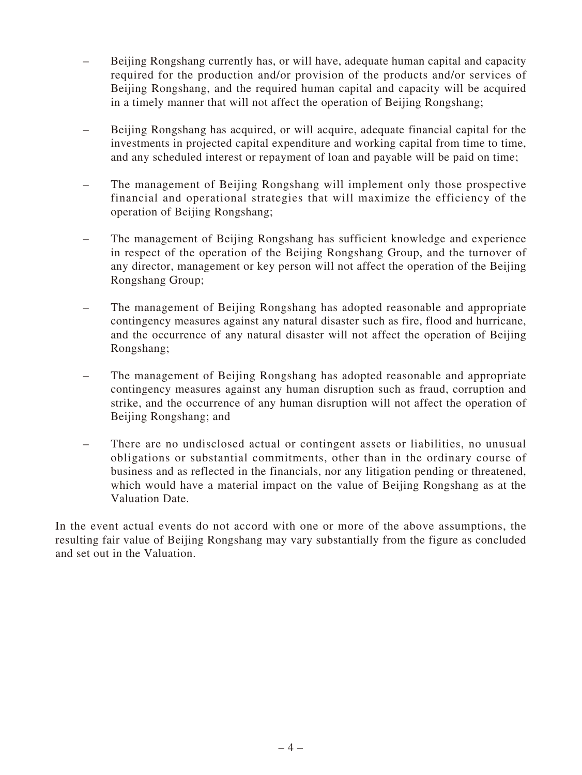- Beijing Rongshang currently has, or will have, adequate human capital and capacity required for the production and/or provision of the products and/or services of Beijing Rongshang, and the required human capital and capacity will be acquired in a timely manner that will not affect the operation of Beijing Rongshang;
- Beijing Rongshang has acquired, or will acquire, adequate financial capital for the investments in projected capital expenditure and working capital from time to time, and any scheduled interest or repayment of loan and payable will be paid on time;
- The management of Beijing Rongshang will implement only those prospective financial and operational strategies that will maximize the efficiency of the operation of Beijing Rongshang;
- The management of Beijing Rongshang has sufficient knowledge and experience in respect of the operation of the Beijing Rongshang Group, and the turnover of any director, management or key person will not affect the operation of the Beijing Rongshang Group;
- The management of Beijing Rongshang has adopted reasonable and appropriate contingency measures against any natural disaster such as fire, flood and hurricane, and the occurrence of any natural disaster will not affect the operation of Beijing Rongshang;
- The management of Beijing Rongshang has adopted reasonable and appropriate contingency measures against any human disruption such as fraud, corruption and strike, and the occurrence of any human disruption will not affect the operation of Beijing Rongshang; and
- There are no undisclosed actual or contingent assets or liabilities, no unusual obligations or substantial commitments, other than in the ordinary course of business and as reflected in the financials, nor any litigation pending or threatened, which would have a material impact on the value of Beijing Rongshang as at the Valuation Date.

In the event actual events do not accord with one or more of the above assumptions, the resulting fair value of Beijing Rongshang may vary substantially from the figure as concluded and set out in the Valuation.